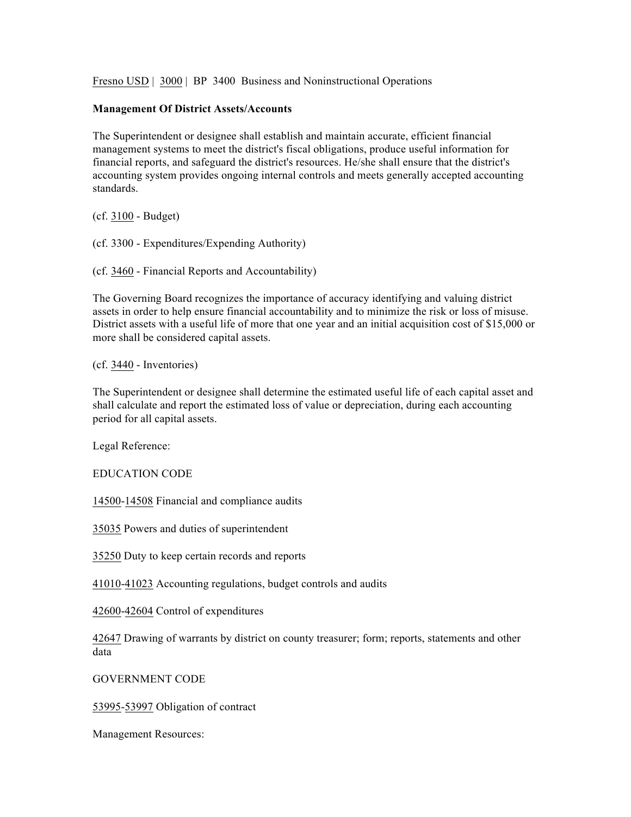Fresno USD | 3000 | BP 3400 Business and Noninstructional Operations

## **Management Of District Assets/Accounts**

The Superintendent or designee shall establish and maintain accurate, efficient financial management systems to meet the district's fiscal obligations, produce useful information for financial reports, and safeguard the district's resources. He/she shall ensure that the district's accounting system provides ongoing internal controls and meets generally accepted accounting standards.

(cf. 3100 - Budget)

(cf. 3300 - Expenditures/Expending Authority)

(cf. 3460 - Financial Reports and Accountability)

The Governing Board recognizes the importance of accuracy identifying and valuing district assets in order to help ensure financial accountability and to minimize the risk or loss of misuse. District assets with a useful life of more that one year and an initial acquisition cost of \$15,000 or more shall be considered capital assets.

(cf. 3440 - Inventories)

The Superintendent or designee shall determine the estimated useful life of each capital asset and shall calculate and report the estimated loss of value or depreciation, during each accounting period for all capital assets.

Legal Reference:

EDUCATION CODE

14500-14508 Financial and compliance audits

35035 Powers and duties of superintendent

35250 Duty to keep certain records and reports

41010-41023 Accounting regulations, budget controls and audits

42600-42604 Control of expenditures

42647 Drawing of warrants by district on county treasurer; form; reports, statements and other data

GOVERNMENT CODE

53995-53997 Obligation of contract

Management Resources: